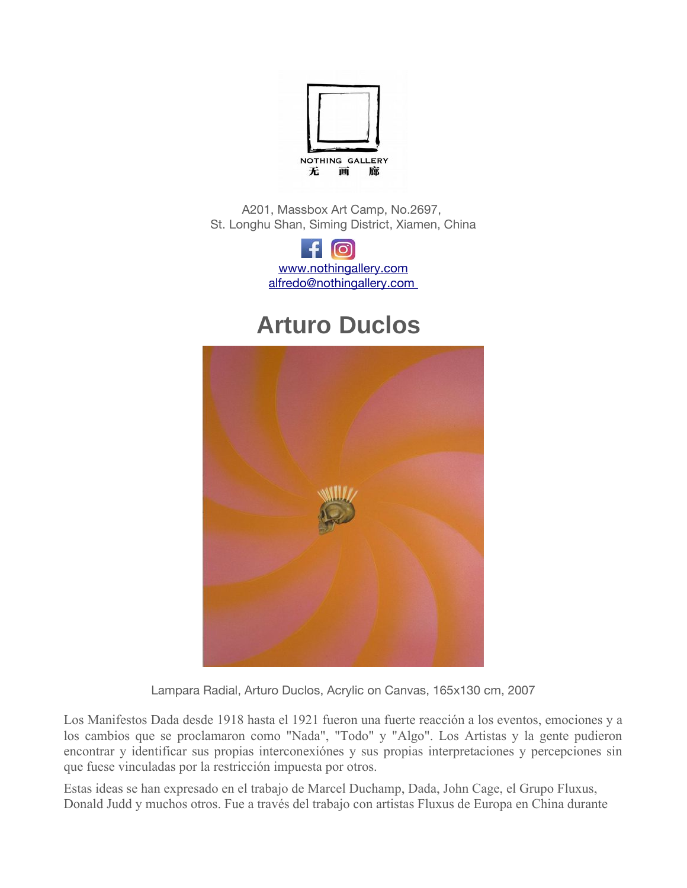

A201, Massbox Art Camp, No.2697, St. Longhu Shan, Siming District, Xiamen, China

> o1 [www.nothingallery.com](http://www.nothingallery.com/) alfredo@nothingallery.com

## **Arturo Duclos**



Lampara Radial, Arturo Duclos, Acrylic on Canvas, 165x130 cm, 2007

Los Manifestos Dada desde 1918 hasta el 1921 fueron una fuerte reacción a los eventos, emociones y a los cambios que se proclamaron como "Nada", "Todo" y "Algo". Los Artistas y la gente pudieron encontrar y identificar sus propias interconexiones y sus propias interpretaciones y percepciones sin que fuese vinculadas por la restriccion impuesta por otros.

Estas ideas se han expresado en el trabajo de Marcel Duchamp, Dada, John Cage, el Grupo Fluxus, Donald Judd y muchos otros. Fue a través del trabajo con artistas Fluxus de Europa en China durante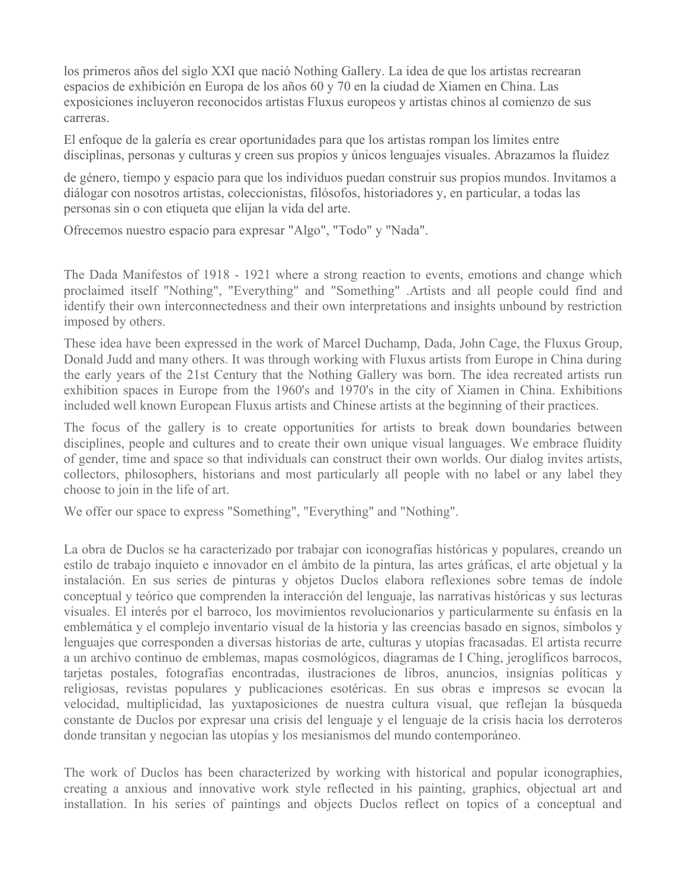los primeros años del siglo XXI que nació Nothing Gallery. La idea de que los artistas recrearan espacios de exhibición en Europa de los años 60 y 70 en la ciudad de Xiamen en China. Las exposiciones incluyeron reconocidos artistas Fluxus europeos y artistas chinos al comienzo de sus carreras.

El enfoque de la galeria es crear oportunidades para que los artistas rompan los limites entre disciplinas, personas y culturas y creen sus propios y únicos lenguajes visuales. Abrazamos la fluidez

de genero, tiempo y espacio para que los individuos puedan construir sus propios mundos. Invitamos a dialogar con nosotros artistas, coleccionistas, filosofos, historiadores y, en particular, a todas las personas sin o con etiqueta que elijan la vida del arte.

Ofrecemos nuestro espacio para expresar "Algo", "Todo" y "Nada".

The Dada Manifestos of 1918 - 1921 where a strong reaction to events, emotions and change which proclaimed itself "Nothing", "Everything" and "Something" .Artists and all people could find and identify their own interconnectedness and their own interpretations and insights unbound by restriction imposed by others.

These idea have been expressed in the work of Marcel Duchamp, Dada, John Cage, the Fluxus Group, Donald Judd and many others. It was through working with Fluxus artists from Europe in China during the early years of the 21st Century that the Nothing Gallery was born. The idea recreated artists run exhibition spaces in Europe from the 1960's and 1970's in the city of Xiamen in China. Exhibitions included well known European Fluxus artists and Chinese artists at the beginning of their practices.

The focus of the gallery is to create opportunities for artists to break down boundaries between disciplines, people and cultures and to create their own unique visual languages. We embrace fluidity of gender, time and space so that individuals can construct their own worlds. Our dialog invites artists, collectors, philosophers, historians and most particularly all people with no label or any label they choose to join in the life of art.

We offer our space to express "Something", "Everything" and "Nothing".

La obra de Duclos se ha caracterizado por trabajar con iconografías históricas y populares, creando un estilo de trabajo inquieto e innovador en el ámbito de la pintura, las artes gráficas, el arte objetual y la instalacion. En sus series de pinturas y objetos Duclos elabora reflexiones sobre temas de indole conceptual y teorico que comprenden la interaccion del lenguaje, las narrativas historicas y sus lecturas visuales. El interés por el barroco, los movimientos revolucionarios y particularmente su énfasis en la emblematica y el complejo inventario visual de la historia y las creencias basado en signos, simbolos y lenguajes que corresponden a diversas historias de arte, culturas y utopias fracasadas. El artista recurre a un archivo continuo de emblemas, mapas cosmologicos, diagramas de I Ching, jeroglificos barrocos, tarjetas postales, fotografias encontradas, ilustraciones de libros, anuncios, insignias politicas y religiosas, revistas populares y publicaciones esotéricas. En sus obras e impresos se evocan la velocidad, multiplicidad, las yuxtaposiciones de nuestra cultura visual, que reflejan la busqueda constante de Duclos por expresar una crisis del lenguaje y el lenguaje de la crisis hacia los derroteros donde transitan y negocian las utopias y los mesianismos del mundo contemporaneo.

The work of Duclos has been characterized by working with historical and popular iconographies, creating a anxious and innovative work style reflected in his painting, graphics, objectual art and installation. In his series of paintings and objects Duclos reflect on topics of a conceptual and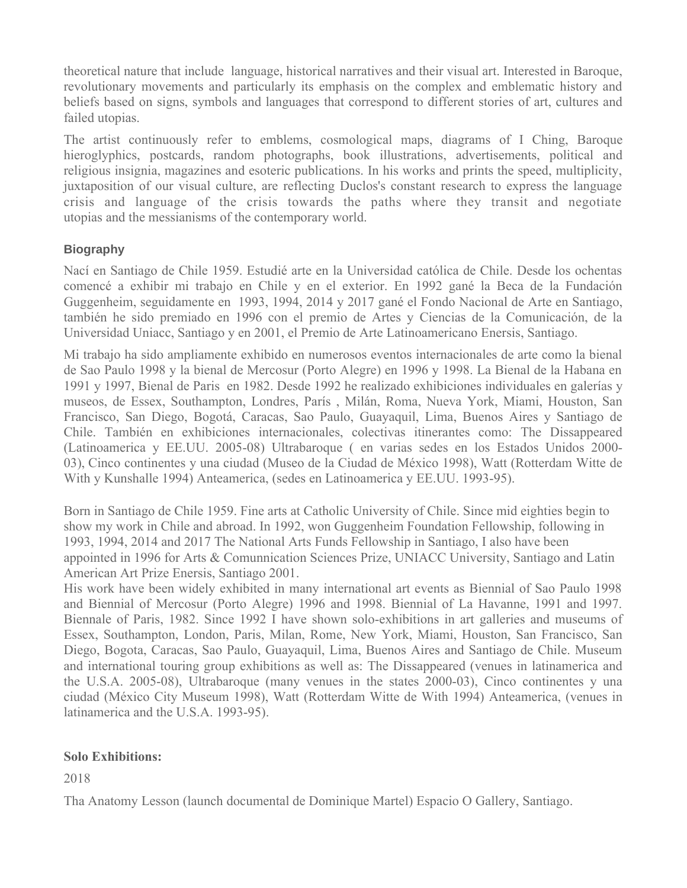theoretical nature that include language, historical narratives and their visual art. Interested in Baroque, revolutionary movements and particularly its emphasis on the complex and emblematic history and beliefs based on signs, symbols and languages that correspond to different stories of art, cultures and failed utopias.

The artist continuously refer to emblems, cosmological maps, diagrams of I Ching, Baroque hieroglyphics, postcards, random photographs, book illustrations, advertisements, political and religious insignia, magazines and esoteric publications. In his works and prints the speed, multiplicity, juxtaposition of our visual culture, are reflecting Duclos's constant research to express the language crisis and language of the crisis towards the paths where they transit and negotiate utopias and the messianisms of the contemporary world.

## **Biography**

Nací en Santiago de Chile 1959. Estudié arte en la Universidad católica de Chile. Desde los ochentas comence a exhibir mi trabajo en Chile y en el exterior. En 1992 gane la Beca de la Fundacion Guggenheim, seguidamente en 1993, 1994, 2014 y 2017 gane el Fondo Nacional de Arte en Santiago, tambien he sido premiado en 1996 con el premio de Artes y Ciencias de la Comunicacion, de la Universidad Uniacc, Santiago y en 2001, el Premio de Arte Latinoamericano Enersis, Santiago.

Mi trabajo ha sido ampliamente exhibido en numerosos eventos internacionales de arte como la bienal de Sao Paulo 1998 y la bienal de Mercosur (Porto Alegre) en 1996 y 1998. La Bienal de la Habana en 1991 y 1997, Bienal de Paris en 1982. Desde 1992 he realizado exhibiciones individuales en galerias y museos, de Essex, Southampton, Londres, Paris , Milan, Roma, Nueva York, Miami, Houston, San Francisco, San Diego, Bogota, Caracas, Sao Paulo, Guayaquil, Lima, Buenos Aires y Santiago de Chile. Tambien en exhibiciones internacionales, colectivas itinerantes como: The Dissappeared (Latinoamerica y EE.UU. 2005-08) Ultrabaroque ( en varias sedes en los Estados Unidos 2000- 03), Cinco continentes y una ciudad (Museo de la Ciudad de Mexico 1998), Watt (Rotterdam Witte de With y Kunshalle 1994) Anteamerica, (sedes en Latinoamerica y EE.UU. 1993-95).

Born in Santiago de Chile 1959. Fine arts at Catholic University of Chile. Since mid eighties begin to show my work in Chile and abroad. In 1992, won Guggenheim Foundation Fellowship, following in 1993, 1994, 2014 and 2017 The National Arts Funds Fellowship in Santiago, I also have been appointed in 1996 for Arts & Comunnication Sciences Prize, UNIACC University, Santiago and Latin American Art Prize Enersis, Santiago 2001.

His work have been widely exhibited in many international art events as Biennial of Sao Paulo 1998 and Biennial of Mercosur (Porto Alegre) 1996 and 1998. Biennial of La Havanne, 1991 and 1997. Biennale of Paris, 1982. Since 1992 I have shown solo-exhibitions in art galleries and museums of Essex, Southampton, London, Paris, Milan, Rome, New York, Miami, Houston, San Francisco, San Diego, Bogota, Caracas, Sao Paulo, Guayaquil, Lima, Buenos Aires and Santiago de Chile. Museum and international touring group exhibitions as well as: The Dissappeared (venues in latinamerica and the U.S.A. 2005-08), Ultrabaroque (many venues in the states 2000-03), Cinco continentes y una ciudad (Mexico City Museum 1998), Watt (Rotterdam Witte de With 1994) Anteamerica, (venues in latinamerica and the U.S.A. 1993-95).

## **Solo Exhibitions:**

2018

Tha Anatomy Lesson (launch documental de Dominique Martel) Espacio O Gallery, Santiago.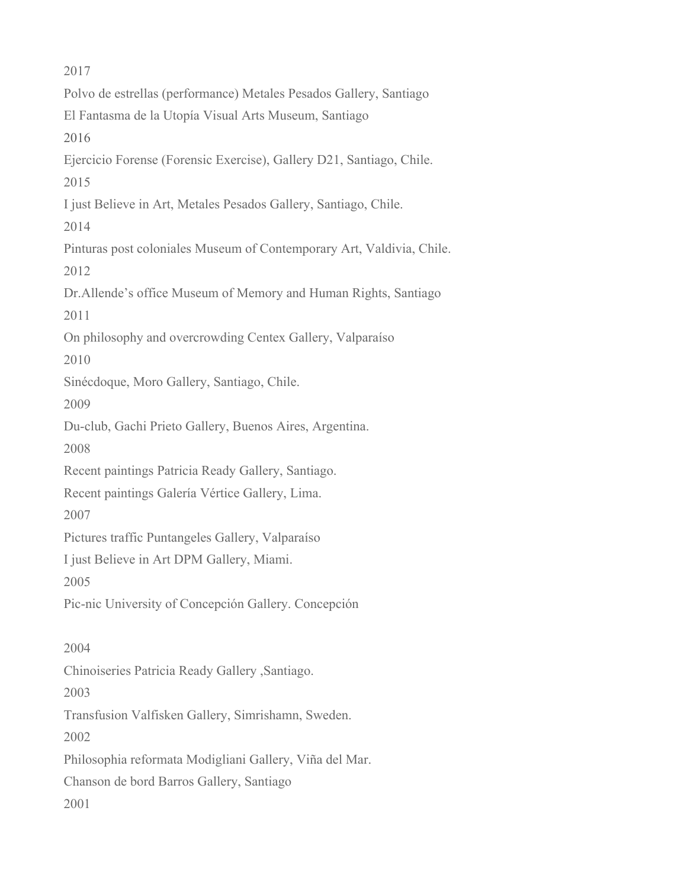2017 Polvo de estrellas (performance) Metales Pesados Gallery, Santiago El Fantasma de la Utopia Visual Arts Museum, Santiago 2016 Ejercicio Forense (Forensic Exercise), Gallery D21, Santiago, Chile. 2015 I just Believe in Art, Metales Pesados Gallery, Santiago, Chile. 2014 Pinturas post coloniales Museum of Contemporary Art, Valdivia, Chile. 2012 Dr.Allende's office Museum of Memory and Human Rights, Santiago 2011 On philosophy and overcrowding Centex Gallery, Valparaiso 2010 Sinécdoque, Moro Gallery, Santiago, Chile. 2009 Du-club, Gachi Prieto Gallery, Buenos Aires, Argentina. 2008 Recent paintings Patricia Ready Gallery, Santiago. Recent paintings Galeria Vertice Gallery, Lima. 2007 Pictures traffic Puntangeles Gallery, Valparaiso I just Believe in Art DPM Gallery, Miami. 2005 Pic-nic University of Concepcion Gallery. Concepcion 2004 Chinoiseries Patricia Ready Gallery ,Santiago. 2003 Transfusion Valfisken Gallery, Simrishamn, Sweden. 2002 Philosophia reformata Modigliani Gallery, Vina del Mar. Chanson de bord Barros Gallery, Santiago 2001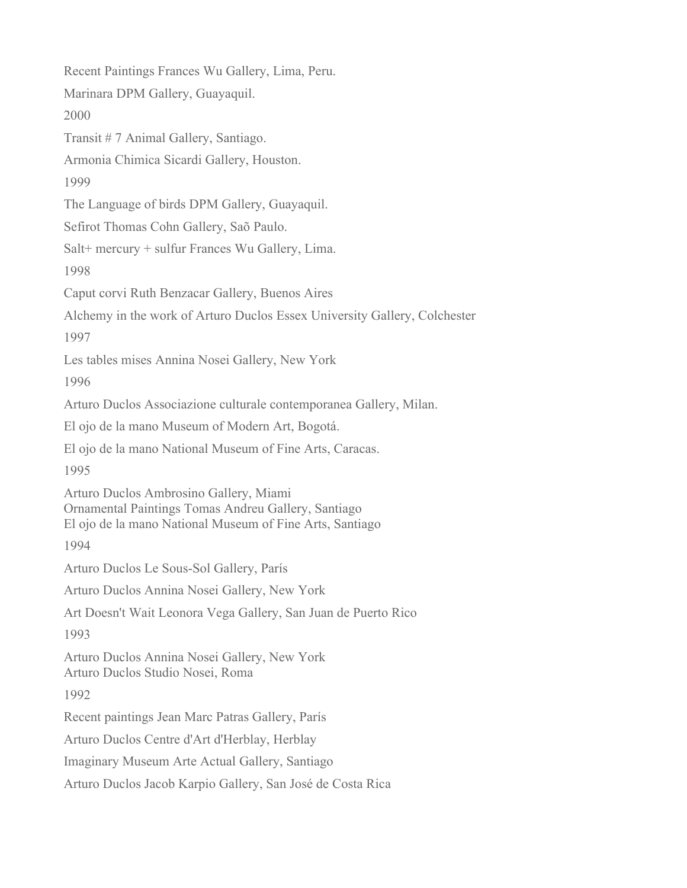Recent Paintings Frances Wu Gallery, Lima, Peru. Marinara DPM Gallery, Guayaquil. 2000 Transit # 7 Animal Gallery, Santiago. Armonia Chimica Sicardi Gallery, Houston. 1999 The Language of birds DPM Gallery, Guayaquil. Sefirot Thomas Cohn Gallery, Saõ Paulo. Salt+ mercury + sulfur Frances Wu Gallery, Lima. 1998 Caput corvi Ruth Benzacar Gallery, Buenos Aires Alchemy in the work of Arturo Duclos Essex University Gallery, Colchester 1997 Les tables mises Annina Nosei Gallery, New York 1996 Arturo Duclos Associazione culturale contemporanea Gallery, Milan. El ojo de la mano Museum of Modern Art, Bogota. El ojo de la mano National Museum of Fine Arts, Caracas. 1995 Arturo Duclos Ambrosino Gallery, Miami Ornamental Paintings Tomas Andreu Gallery, Santiago El ojo de la mano National Museum of Fine Arts, Santiago 1994 Arturo Duclos Le Sous-Sol Gallery, Paris Arturo Duclos Annina Nosei Gallery, New York Art Doesn't Wait Leonora Vega Gallery, San Juan de Puerto Rico 1993 Arturo Duclos Annina Nosei Gallery, New York Arturo Duclos Studio Nosei, Roma 1992 Recent paintings Jean Marc Patras Gallery, Paris Arturo Duclos Centre d'Art d'Herblay, Herblay Imaginary Museum Arte Actual Gallery, Santiago Arturo Duclos Jacob Karpio Gallery, San Jose de Costa Rica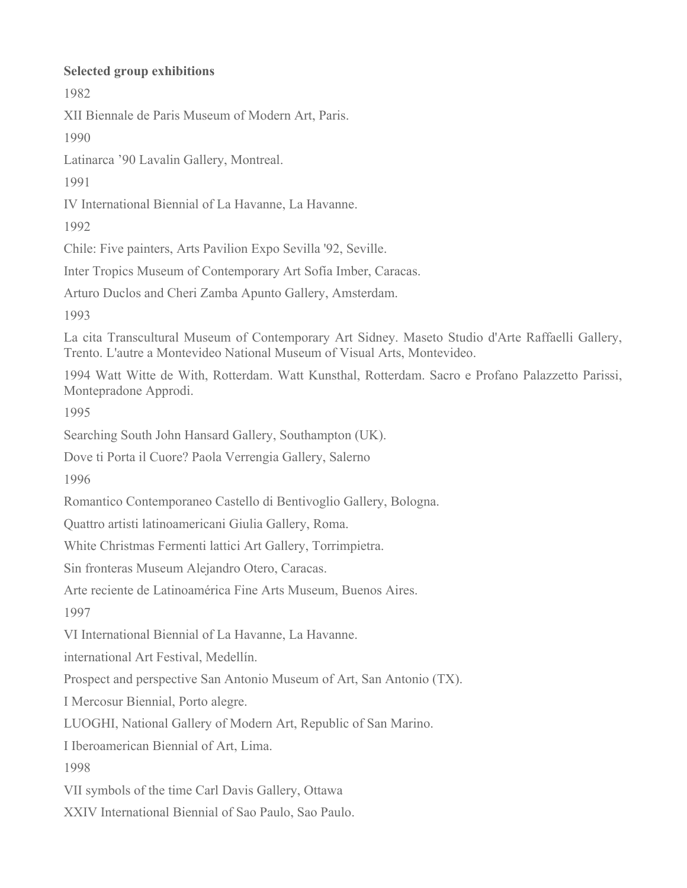## **Selected group exhibitions**

1982

XII Biennale de Paris Museum of Modern Art, Paris.

1990

Latinarca '90 Lavalin Gallery, Montreal.

1991

IV International Biennial of La Havanne, La Havanne.

1992

Chile: Five painters, Arts Pavilion Expo Sevilla '92, Seville.

Inter Tropics Museum of Contemporary Art Sofia Imber, Caracas.

Arturo Duclos and Cheri Zamba Apunto Gallery, Amsterdam.

1993

La cita Transcultural Museum of Contemporary Art Sidney. Maseto Studio d'Arte Raffaelli Gallery, Trento. L'autre a Montevideo National Museum of Visual Arts, Montevideo.

1994 Watt Witte de With, Rotterdam. Watt Kunsthal, Rotterdam. Sacro e Profano Palazzetto Parissi, Montepradone Approdi.

1995

Searching South John Hansard Gallery, Southampton (UK).

Dove ti Porta il Cuore? Paola Verrengia Gallery, Salerno

1996

Romantico Contemporaneo Castello di Bentivoglio Gallery, Bologna.

Quattro artisti latinoamericani Giulia Gallery, Roma.

White Christmas Fermenti lattici Art Gallery, Torrimpietra.

Sin fronteras Museum Alejandro Otero, Caracas.

Arte reciente de Latinoamérica Fine Arts Museum, Buenos Aires.

1997

VI International Biennial of La Havanne, La Havanne.

international Art Festival, Medellin.

Prospect and perspective San Antonio Museum of Art, San Antonio (TX).

I Mercosur Biennial, Porto alegre.

LUOGHI, National Gallery of Modern Art, Republic of San Marino.

I Iberoamerican Biennial of Art, Lima.

1998

VII symbols of the time Carl Davis Gallery, Ottawa

XXIV International Biennial of Sao Paulo, Sao Paulo.